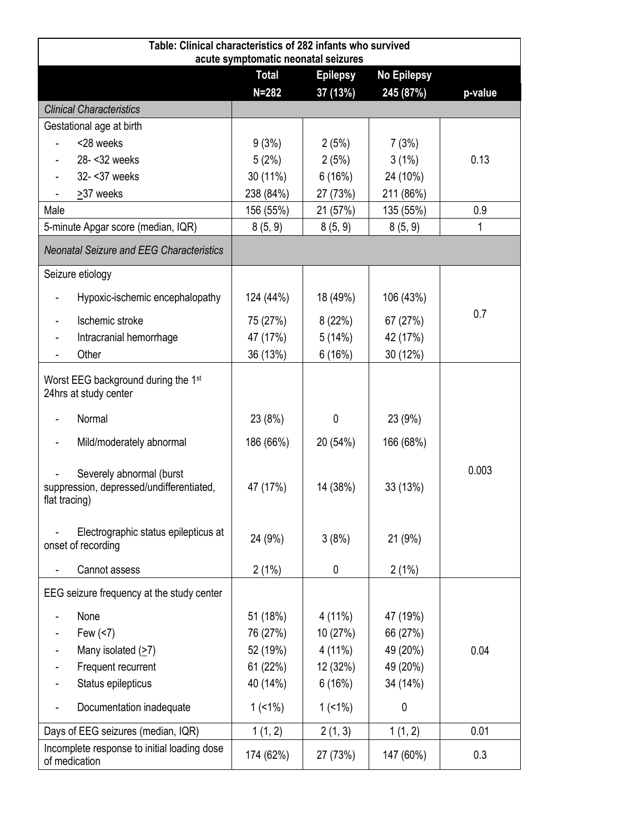| Table: Clinical characteristics of 282 infants who survived<br>acute symptomatic neonatal seizures |              |                 |                    |         |  |  |
|----------------------------------------------------------------------------------------------------|--------------|-----------------|--------------------|---------|--|--|
|                                                                                                    | <b>Total</b> | <b>Epilepsy</b> | <b>No Epilepsy</b> |         |  |  |
|                                                                                                    | $N = 282$    | 37 (13%)        | 245 (87%)          | p-value |  |  |
| <b>Clinical Characteristics</b>                                                                    |              |                 |                    |         |  |  |
| Gestational age at birth                                                                           |              |                 |                    |         |  |  |
| <28 weeks                                                                                          | 9(3%)        | 2(5%)           | 7(3%)              |         |  |  |
| 28- < 32 weeks                                                                                     | 5(2%)        | 2(5%)           | 3(1%)              | 0.13    |  |  |
| 32- < 37 weeks                                                                                     | 30 (11%)     | 6(16%)          | 24 (10%)           |         |  |  |
| >37 weeks                                                                                          | 238 (84%)    | 27 (73%)        | 211 (86%)          |         |  |  |
| Male                                                                                               | 156 (55%)    | 21 (57%)        | 135 (55%)          | 0.9     |  |  |
| 5-minute Apgar score (median, IQR)                                                                 | 8(5, 9)      | 8(5, 9)         | 8(5, 9)            | 1       |  |  |
| <b>Neonatal Seizure and EEG Characteristics</b>                                                    |              |                 |                    |         |  |  |
| Seizure etiology                                                                                   |              |                 |                    |         |  |  |
| Hypoxic-ischemic encephalopathy                                                                    | 124 (44%)    | 18 (49%)        | 106 (43%)          |         |  |  |
| Ischemic stroke                                                                                    | 75 (27%)     | 8(22%)          | 67 (27%)           | 0.7     |  |  |
| Intracranial hemorrhage                                                                            | 47 (17%)     | 5(14%)          | 42 (17%)           |         |  |  |
| Other                                                                                              | 36 (13%)     | 6(16%)          | 30 (12%)           |         |  |  |
| Worst EEG background during the 1 <sup>st</sup><br>24hrs at study center                           |              |                 |                    |         |  |  |
| Normal                                                                                             | 23 (8%)      | 0               | 23 (9%)            |         |  |  |
| Mild/moderately abnormal                                                                           | 186 (66%)    | 20 (54%)        | 166 (68%)          |         |  |  |
| Severely abnormal (burst<br>suppression, depressed/undifferentiated,<br>flat tracing)              | 47 (17%)     | 14 (38%)        | 33 (13%)           | 0.003   |  |  |
| Electrographic status epilepticus at<br>onset of recording                                         | 24 (9%)      | 3(8%)           | 21 (9%)            |         |  |  |
| Cannot assess                                                                                      | 2(1%)        | 0               | 2(1%)              |         |  |  |
| EEG seizure frequency at the study center                                                          |              |                 |                    |         |  |  |
| None                                                                                               | 51 (18%)     | 4 (11%)         | 47 (19%)           |         |  |  |
| Few (<7)                                                                                           | 76 (27%)     | 10 (27%)        | 66 (27%)           |         |  |  |
| Many isolated $(27)$                                                                               | 52 (19%)     | 4 (11%)         | 49 (20%)           | 0.04    |  |  |
| Frequent recurrent                                                                                 | 61 (22%)     | 12 (32%)        | 49 (20%)           |         |  |  |
| Status epilepticus                                                                                 | 40 (14%)     | 6(16%)          | 34 (14%)           |         |  |  |
| Documentation inadequate                                                                           | $1(1\%)$     | $1(1\%)$        | 0                  |         |  |  |
| Days of EEG seizures (median, IQR)                                                                 | 1(1, 2)      | 2(1, 3)         | 1(1, 2)            | 0.01    |  |  |
| Incomplete response to initial loading dose<br>of medication                                       | 174 (62%)    | 27 (73%)        | 147 (60%)          | 0.3     |  |  |